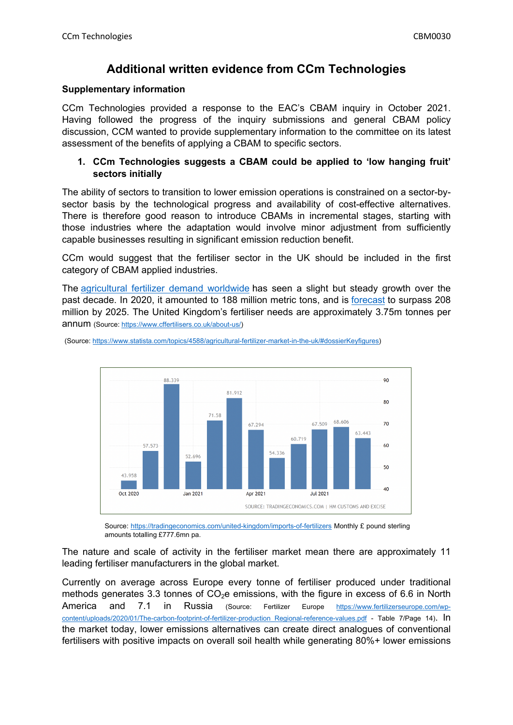# **Additional written evidence from CCm Technologies**

## **Supplementary information**

CCm Technologies provided a response to the EAC's CBAM inquiry in October 2021. Having followed the progress of the inquiry submissions and general CBAM policy discussion, CCM wanted to provide supplementary information to the committee on its latest assessment of the benefits of applying a CBAM to specific sectors.

## **1. CCm Technologies suggests a CBAM could be applied to 'low hanging fruit' sectors initially**

The ability of sectors to transition to lower emission operations is constrained on a sector-bysector basis by the technological progress and availability of cost-effective alternatives. There is therefore good reason to introduce CBAMs in incremental stages, starting with those industries where the adaptation would involve minor adjustment from sufficiently capable businesses resulting in significant emission reduction benefit.

CCm would suggest that the fertiliser sector in the UK should be included in the first category of CBAM applied industries.

The [agricultural](https://www.statista.com/statistics/438930/fertilizer-demand-globally-by-nutrient/) [fertilizer](https://www.statista.com/statistics/438930/fertilizer-demand-globally-by-nutrient/) [demand](https://www.statista.com/statistics/438930/fertilizer-demand-globally-by-nutrient/) [worldwide](https://www.statista.com/statistics/438930/fertilizer-demand-globally-by-nutrient/) has seen a slight but steady growth over the past decade. In 2020, it amounted to 188 million metric tons, and is [forecast](https://www.statista.com/statistics/438964/medium-forecast-fertilizer-demand-globally-by-nutrient/) to surpass 208 million by 2025. The United Kingdom's fertiliser needs are approximately 3.75m tonnes per annum (Source: [https://www.cffertilisers.co.uk/about-us/\)](https://www.cffertilisers.co.uk/about-us/)



(Source: [https://www.statista.com/topics/4588/agricultural-fertilizer-market-in-the-uk/#dossierKeyfigures\)](https://www.statista.com/topics/4588/agricultural-fertilizer-market-in-the-uk/#dossierKeyfigures)

Source: <https://tradingeconomics.com/united-kingdom/imports-of-fertilizers> Monthly £ pound sterling amounts totalling £777.6mn pa.

The nature and scale of activity in the fertiliser market mean there are approximately 11 leading fertiliser manufacturers in the global market.

Currently on average across Europe every tonne of fertiliser produced under traditional methods generates 3.3 tonnes of  $CO<sub>2</sub>e$  emissions, with the figure in excess of 6.6 in North America and 7.1 in Russia (Source: Fertilizer Europe [https://www.fertilizerseurope.com/wp](https://www.fertilizerseurope.com/wp-content/uploads/2020/01/The-carbon-footprint-of-fertilizer-production_Regional-reference-values.pdf)content/uploads/2020/01/The-carbon-footprint-of-fertilizer-production Regional-reference-values.pdf - Table 7/Page 14). In the market today, lower emissions alternatives can create direct analogues of conventional fertilisers with positive impacts on overall soil health while generating 80%+ lower emissions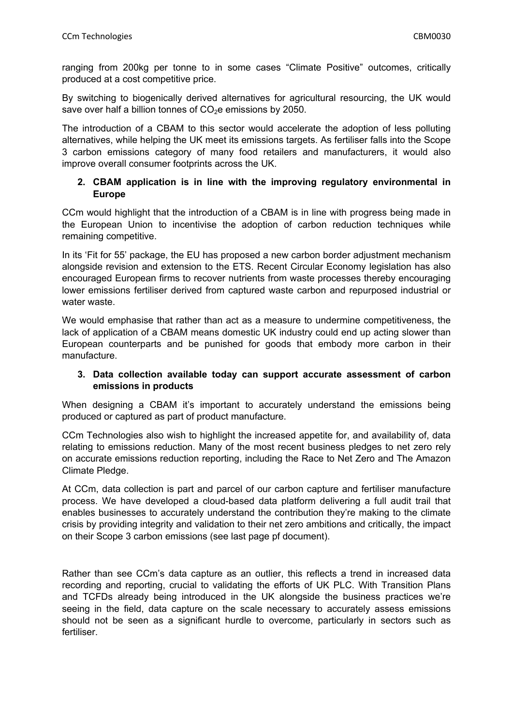ranging from 200kg per tonne to in some cases "Climate Positive" outcomes, critically produced at a cost competitive price.

By switching to biogenically derived alternatives for agricultural resourcing, the UK would save over half a billion tonnes of  $CO<sub>2</sub>e$  emissions by 2050.

The introduction of a CBAM to this sector would accelerate the adoption of less polluting alternatives, while helping the UK meet its emissions targets. As fertiliser falls into the Scope 3 carbon emissions category of many food retailers and manufacturers, it would also improve overall consumer footprints across the UK.

## **2. CBAM application is in line with the improving regulatory environmental in Europe**

CCm would highlight that the introduction of a CBAM is in line with progress being made in the European Union to incentivise the adoption of carbon reduction techniques while remaining competitive.

In its 'Fit for 55' package, the EU has proposed a new carbon border adjustment mechanism alongside revision and extension to the ETS. Recent Circular Economy legislation has also encouraged European firms to recover nutrients from waste processes thereby encouraging lower emissions fertiliser derived from captured waste carbon and repurposed industrial or water waste.

We would emphasise that rather than act as a measure to undermine competitiveness, the lack of application of a CBAM means domestic UK industry could end up acting slower than European counterparts and be punished for goods that embody more carbon in their manufacture.

## **3. Data collection available today can support accurate assessment of carbon emissions in products**

When designing a CBAM it's important to accurately understand the emissions being produced or captured as part of product manufacture.

CCm Technologies also wish to highlight the increased appetite for, and availability of, data relating to emissions reduction. Many of the most recent business pledges to net zero rely on accurate emissions reduction reporting, including the Race to Net Zero and The Amazon Climate Pledge.

At CCm, data collection is part and parcel of our carbon capture and fertiliser manufacture process. We have developed a cloud-based data platform delivering a full audit trail that enables businesses to accurately understand the contribution they're making to the climate crisis by providing integrity and validation to their net zero ambitions and critically, the impact on their Scope 3 carbon emissions (see last page pf document).

Rather than see CCm's data capture as an outlier, this reflects a trend in increased data recording and reporting, crucial to validating the efforts of UK PLC. With Transition Plans and TCFDs already being introduced in the UK alongside the business practices we're seeing in the field, data capture on the scale necessary to accurately assess emissions should not be seen as a significant hurdle to overcome, particularly in sectors such as fertiliser.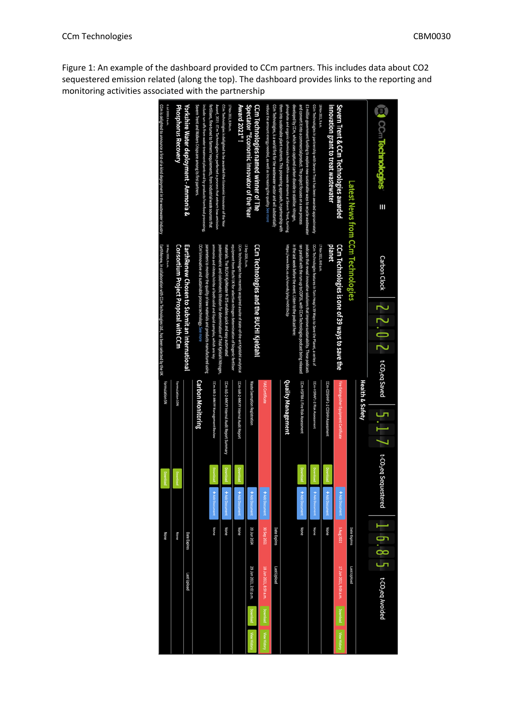Figure 1: An example of the dashboard provided to CCm partners. This includes data about CO2 sequestered emission related (along the top). The dashboard provides links to the reporting and monitoring activities associated with the partnership